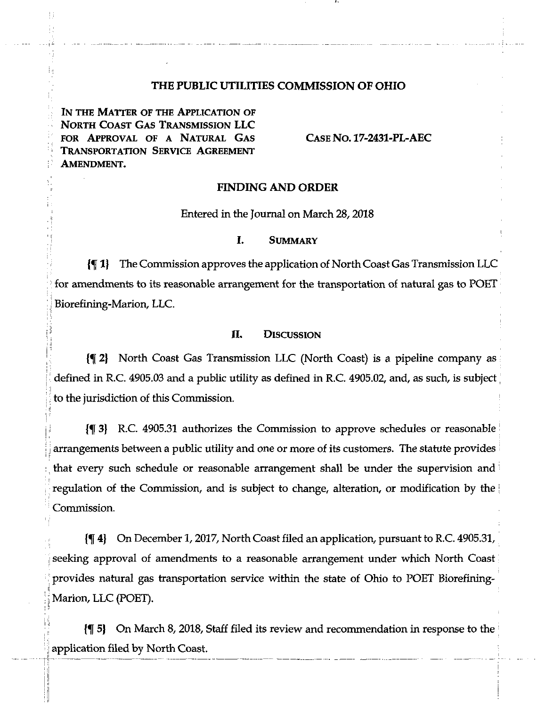### **THE PUBLIC UTILITIES COMMISSION OF OHIO**

IN THE MATTER OF THE APPLICATION OF North Coast Gas Transmission LLC FOR Approval of a Natural Gas Transportation Service Agreement Amendment.

**i i!**

. . .

: ,1

**I**

Case No. 17-2431-PL-AEC

#### FINDING AND ORDER

Entered in the Journal on March 28,2018

#### I. Summary

 $\P$  1} The Commission approves the application of North Coast Gas Transmission LLC : for amendments to its reasonable arrangement for the transportation of natural gas to POET Biorefining-Marion, LLC.

### II. DISCUSSION

I; 2] North Coast Gas Transmission LLC (North Coast) is a pipeline company as defined in R.C. 4905.03 and a public utility as defined in R.C. 4905.02, and, as such, is subject to the jurisdiction of this Commission.

 $\{\P\}$  R.C. 4905.31 authorizes the Commission to approve schedules or reasonable arrangements between a public utility and one or more of its customers. The statute provides that every such schedule or reasonable arrangement shall be under the supervision and regulation of the Commission, and is subject to change, alteration, or modification by the Commission.

4) On December 1,2017, North Coast filed an application, pursuant to R.C. 4905.31, seeking approval of amendments to a reasonable arrangement under which North Coast : provides natural gas transportation service within the state of Ohio to POET Biorefining-Marion, LLC (POET).

5} On March 8, 2018, Staff filed its review and recommendation in response to the ^ application filed by North Coast.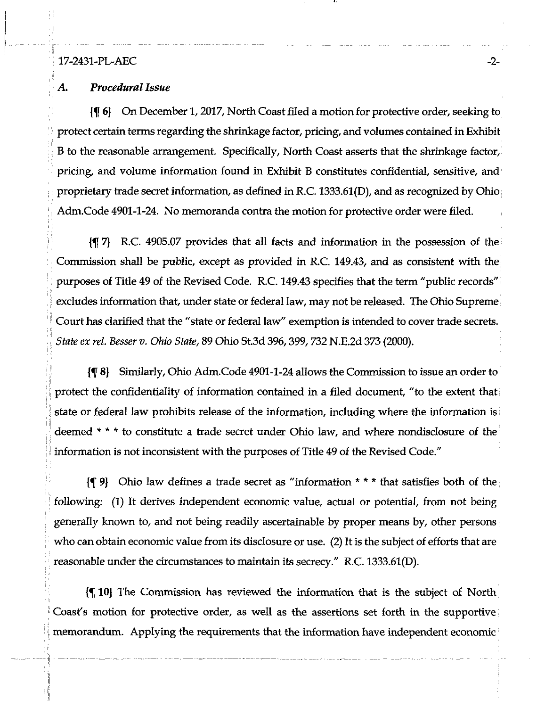### 17-2431-PL-AEC -2-

**T**

**I**

**Mi**

**j ,1**

 $\blacksquare$ 

ill

### *A. ProceduralIssue*

{5[ 6) On December 1,2017, NorthCoastfiled a motion for protective order, seeking to protect certain terms regarding the shrinkage factor, pricing, and volumes contained in Exhibit B to the reasonable arrangement. Specifically, North Coast asserts that the shrinkage factor, pricing, and volume information found in Exhibit B constitutes confidential, sensitive, and proprietary trade secret information, as defined in R.C. 1333.61(D), and as recognized by Ohio Adm.Code 4901-1-24. No memoranda contra the motion for protective order were filed.

{f 7) R.C. 4905.07 provides that all facts and information in the possession of the : Commission shall be public, except as provided in R.C. 149.43, and as consistent with the purposes of Title 49 of the Revised Code. R.C. 149.43 specifies that the term "public records" excludes information that, under state or federal law, may not be released. The Ohio Supreme Court has clarified that the "state or federal law" exemption is intended to cover trade secrets. : State ex rel. Besser v. Ohio State, 89 Ohio St.3d 396,399, 732 N.E.2d 373 (2000).

[¶ 8] Similarly, Ohio Adm.Code 4901-1-24 allows the Commission to issue an order to protect the confidentiality of information contained in a filed document, "to the extent that ! state or federal law prohibits release of the information, including where the information is <sup>i</sup> deemed \* \* \* to constitute a trade secret under Ohio law, and where nondisclosure of the information is not inconsistent with the purposes of Title 49 of the Revised Code."

{f 9} Ohio law defines a trade secret as "information \* \* \* that satisfies both of the; following: (1) It derives independent economic value, actual or potential, from not being generally known to, and not being readily ascertainable by proper means by, other persons who can obtain economic value from its disclosure or use. (2) It is the subject of efforts that are reasonable under the circumstances to maintain its secrecy." R.C. 1333.61(D).

10} The Commission has reviewed the information that is the subject of North Coast's motion for protective order, as well as the assertions set forth in the supportive; memorandum. Applying the requirements that the information have independent economic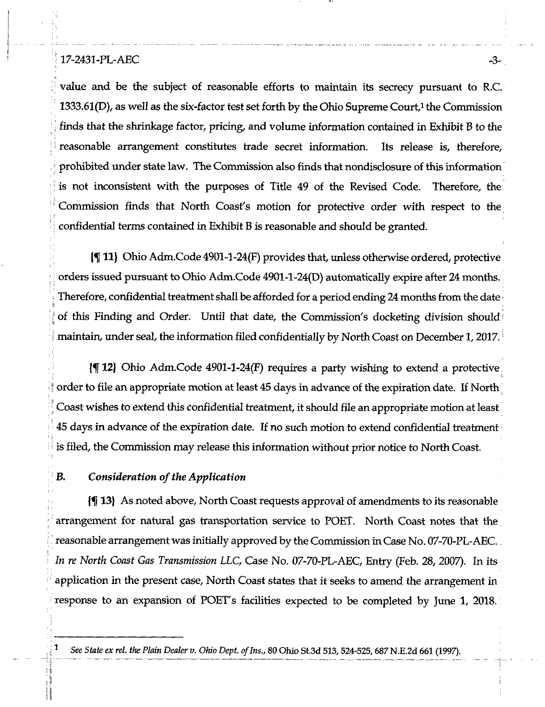## $17-2431-PL-ABC$

*■[*

**|i**

1

value and be the subject of reasonable efforts to maintain its secrecy pursuant to R.C. 1333.61(D), as well as the six-factor test set forth by the Ohio Supreme Court,<sup>1</sup> the Commission finds that the shrinkage factor, pricing, and volume information contained in Exhibit B to the ; reasonable arrangement constitutes trade secret information. Its release is, therefore, prohibited under state law. The Commission also finds that nondisclosure of this information is not inconsistent with the purposes of Title 49 of the Revised Code. Therefore, the ! Commission finds that North Coast's motion for protective order with respect to the confidential terms contained in Exhibit B is reasonable and should be granted.

11} Ohio Adm.Code 4901-1-24(F) provides that, unless otherwise ordered, protective orders issued pursuant to Ohio Adm.Code 4901-1-24(D) automatically expire after 24 months. Therefore, confidential treatment shall be afforded for a period ending 24 months from the date  $\cdot$ **^ i** of this Finding and Order. Until that date, the Commission's docketing division should maintain, under seal, the information filed confidentially by North Coast on December 1, 2017.

12} Ohio Adm.Code 4901-1-24(F) requires a party wishing to extend a protective  $\mathcal{N}$  , the contract of the contract of the contract of the contract of the contract of the contract of the contract of the contract of the contract of the contract of the contract of the contract of the contract of th order to file an appropriate motion at least 45 days in advance of the expiration date. If North Coast wishes to extend this confidential treatment, it should file an appropriate motion at least  $45$  days in advance of the expiration date. If no such motion to extend confidential treatment is filed, the Commission may release this information without prior notice to North Coast.

## *B.* Consideration of the Application

13) As noted above. North Coastrequests approval of amendments to its reasonable arrangement for natural gas transportation service to POET. North Coast notes that the reasonable arrangementwasinitially approved by theCommission inCase No. 07-70-PL-AEC. In re North Coast Gas Transmission LLC, Case No. 07-70-PL-AEC, Entry (Feb. 28, 2007). In its application in the present case, North Coast states that it seeks to amend the arrangement in response to an expansion of POET's facilities expected to be completed by June 1, 2018.

See State ex rel. the Plain Dealer v. Ohio Dept. of Ins., 80 Ohio St.3d 513, 524-525, 687 N.E.2d 661 (1997).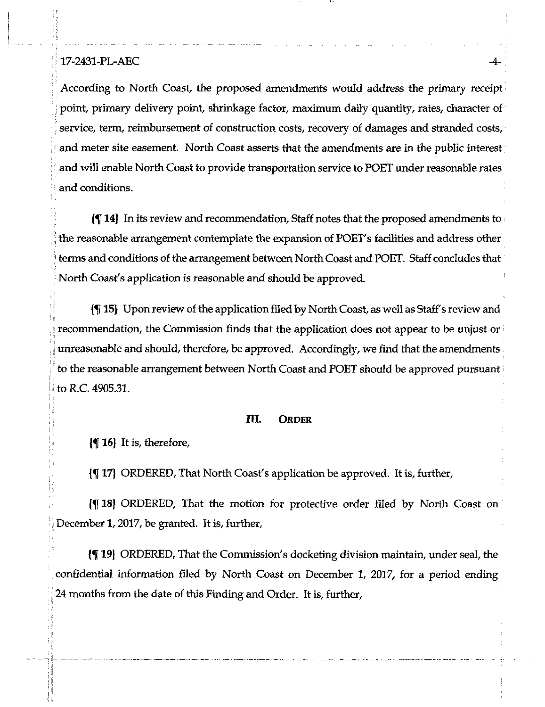## <sup>i</sup> 17-2431-PL-AEC -4-

'I

'I

According to North Coast, the proposed amendments would address the primary receipt ; point, primary delivery point, shrinkage factor, maximum daily quantity, rates, character of service, term, reimbursement of construction costs, recovery of damages and stranded costs, and meter site easement. North Coast asserts that the amendments are in the public interest and will enable North Coast to provide transportation service to POET under reasonable rates and conditions.

 $\{\P 14\}$  In its review and recommendation, Staff notes that the proposed amendments to the reasonable arrangement contemplate the expansion of POET's facilities and address other terms and conditions of the arrangement between North Coast and POET. Staff concludes that North Coast's application is reasonable and should be approved.

 ii  $\{\P\}$  15} Upon review of the application filed by North Coast, as well as Staff's review and l! recommendation, the Commission finds that the application does not appear to be unjust or unreasonable and should, therefore, be approved. Accordingly, we find that the amendments to the reasonable arrangement between North Coast and POET should be approved pursuant **i.** to R.C. 4905.31.

### III. Order

 $\left\{ \P \right\}$  It is, therefore,

{^17} ORDERED, That North Coasfs application be approved. It is, further,

18} ORDERED, That the motion for protective order filed by North Coast on December 1,2017, be granted. It is, further,

19} ORDERED, That the Commission's docketing division maintain, under seal, the confidential information filed by North Coast on December 1, 2017, for a period ending : 24 months from the date of this Finding and Order. It is, further,